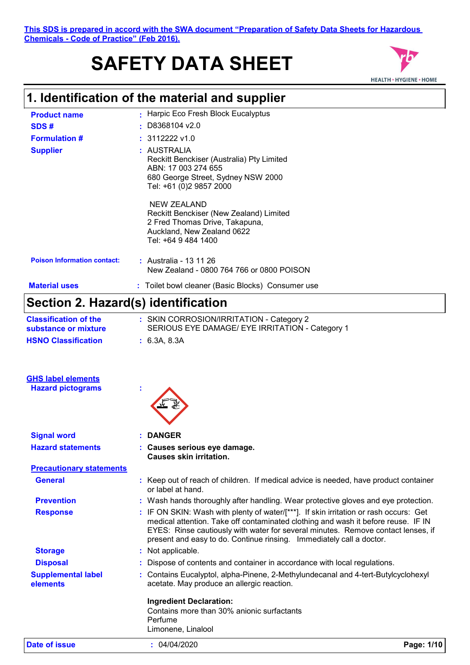# **SAFETY DATA SHEET**



| <b>Product name</b>                                   | Harpic Eco Fresh Block Eucalyptus                                                                                                                                                                                                                                                                                                      |
|-------------------------------------------------------|----------------------------------------------------------------------------------------------------------------------------------------------------------------------------------------------------------------------------------------------------------------------------------------------------------------------------------------|
| SDS#                                                  | D8368104 v2.0                                                                                                                                                                                                                                                                                                                          |
| <b>Formulation #</b>                                  | 3112222 v1.0                                                                                                                                                                                                                                                                                                                           |
| <b>Supplier</b>                                       | : AUSTRALIA<br>Reckitt Benckiser (Australia) Pty Limited<br>ABN: 17 003 274 655<br>680 George Street, Sydney NSW 2000<br>Tel: +61 (0)2 9857 2000                                                                                                                                                                                       |
|                                                       | <b>NEW ZEALAND</b><br>Reckitt Benckiser (New Zealand) Limited<br>2 Fred Thomas Drive, Takapuna,<br>Auckland, New Zealand 0622<br>Tel: +64 9 484 1400                                                                                                                                                                                   |
| <b>Poison Information contact:</b>                    | : Australia - 13 11 26<br>New Zealand - 0800 764 766 or 0800 POISON                                                                                                                                                                                                                                                                    |
| <b>Material uses</b>                                  | : Toilet bowl cleaner (Basic Blocks) Consumer use                                                                                                                                                                                                                                                                                      |
| Section 2. Hazard(s) identification                   |                                                                                                                                                                                                                                                                                                                                        |
| <b>Classification of the</b>                          | : SKIN CORROSION/IRRITATION - Category 2                                                                                                                                                                                                                                                                                               |
| substance or mixture                                  | SERIOUS EYE DAMAGE/ EYE IRRITATION - Category 1                                                                                                                                                                                                                                                                                        |
| <b>HSNO Classification</b>                            | : 6.3A, 8.3A                                                                                                                                                                                                                                                                                                                           |
|                                                       |                                                                                                                                                                                                                                                                                                                                        |
| <b>GHS label elements</b><br><b>Hazard pictograms</b> |                                                                                                                                                                                                                                                                                                                                        |
|                                                       |                                                                                                                                                                                                                                                                                                                                        |
| <b>Signal word</b>                                    | <b>DANGER</b>                                                                                                                                                                                                                                                                                                                          |
| <b>Hazard statements</b>                              | Causes serious eye damage.<br><b>Causes skin irritation.</b>                                                                                                                                                                                                                                                                           |
| <b>Precautionary statements</b>                       |                                                                                                                                                                                                                                                                                                                                        |
| General                                               | : Keep out of reach of children. If medical advice is needed, have product container<br>or label at hand.                                                                                                                                                                                                                              |
| <b>Prevention</b>                                     | : Wash hands thoroughly after handling. Wear protective gloves and eye protection.                                                                                                                                                                                                                                                     |
| <b>Response</b>                                       | : IF ON SKIN: Wash with plenty of water/[***]. If skin irritation or rash occurs: Get<br>medical attention. Take off contaminated clothing and wash it before reuse. IF IN<br>EYES: Rinse cautiously with water for several minutes. Remove contact lenses, if<br>present and easy to do. Continue rinsing. Immediately call a doctor. |
| <b>Storage</b>                                        | : Not applicable.                                                                                                                                                                                                                                                                                                                      |
| <b>Disposal</b>                                       | Dispose of contents and container in accordance with local regulations.                                                                                                                                                                                                                                                                |
| <b>Supplemental label</b><br>elements                 | : Contains Eucalyptol, alpha-Pinene, 2-Methylundecanal and 4-tert-Butylcyclohexyl<br>acetate. May produce an allergic reaction.                                                                                                                                                                                                        |
|                                                       | <b>Ingredient Declaration:</b><br>Contains more than 30% anionic surfactants<br>Perfume<br>Limonene, Linalool                                                                                                                                                                                                                          |

**Date of issue :** 04/04/2020 **Page: 1/10**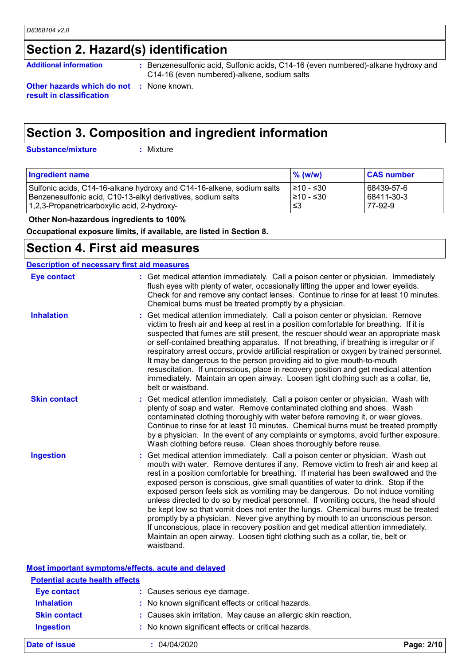# **Section 2. Hazard(s) identification**

Additional information : Benzenesulfonic acid, Sulfonic acids, C14-16 (even numbered)-alkane hydroxy and **Additional** C14-16 (even numbered)-alkene, sodium salts

**Other hazards which do not :** None known. **result in classification**

**Section 3. Composition and ingredient information**

**Substance/mixture :**

Mixture

| <b>Ingredient name</b>                                                | $%$ (w/w)       | <b>CAS number</b> |
|-----------------------------------------------------------------------|-----------------|-------------------|
| Sulfonic acids, C14-16-alkane hydroxy and C14-16-alkene, sodium salts | 1≥10 - ≤30      | 68439-57-6        |
| Benzenesulfonic acid, C10-13-alkyl derivatives, sodium salts          | $\geq 10 - 530$ | 68411-30-3        |
| 1,2,3-Propanetricarboxylic acid, 2-hydroxy-                           | ا≤3             | 77-92-9           |

 **Other Non-hazardous ingredients to 100%**

**Occupational exposure limits, if available, are listed in Section 8.**

# **Section 4. First aid measures**

| <b>Description of necessary first aid measures</b> |                                                                                                                                                                                                                                                                                                                                                                                                                                                                                                                                                                                                                                                                                                                                                                                                                                                                                        |
|----------------------------------------------------|----------------------------------------------------------------------------------------------------------------------------------------------------------------------------------------------------------------------------------------------------------------------------------------------------------------------------------------------------------------------------------------------------------------------------------------------------------------------------------------------------------------------------------------------------------------------------------------------------------------------------------------------------------------------------------------------------------------------------------------------------------------------------------------------------------------------------------------------------------------------------------------|
| <b>Eye contact</b>                                 | : Get medical attention immediately. Call a poison center or physician. Immediately<br>flush eyes with plenty of water, occasionally lifting the upper and lower eyelids.<br>Check for and remove any contact lenses. Continue to rinse for at least 10 minutes.<br>Chemical burns must be treated promptly by a physician.                                                                                                                                                                                                                                                                                                                                                                                                                                                                                                                                                            |
| <b>Inhalation</b>                                  | Get medical attention immediately. Call a poison center or physician. Remove<br>victim to fresh air and keep at rest in a position comfortable for breathing. If it is<br>suspected that fumes are still present, the rescuer should wear an appropriate mask<br>or self-contained breathing apparatus. If not breathing, if breathing is irregular or if<br>respiratory arrest occurs, provide artificial respiration or oxygen by trained personnel.<br>It may be dangerous to the person providing aid to give mouth-to-mouth<br>resuscitation. If unconscious, place in recovery position and get medical attention<br>immediately. Maintain an open airway. Loosen tight clothing such as a collar, tie,<br>belt or waistband.                                                                                                                                                    |
| <b>Skin contact</b>                                | Get medical attention immediately. Call a poison center or physician. Wash with<br>plenty of soap and water. Remove contaminated clothing and shoes. Wash<br>contaminated clothing thoroughly with water before removing it, or wear gloves.<br>Continue to rinse for at least 10 minutes. Chemical burns must be treated promptly<br>by a physician. In the event of any complaints or symptoms, avoid further exposure.<br>Wash clothing before reuse. Clean shoes thoroughly before reuse.                                                                                                                                                                                                                                                                                                                                                                                          |
| <b>Ingestion</b>                                   | : Get medical attention immediately. Call a poison center or physician. Wash out<br>mouth with water. Remove dentures if any. Remove victim to fresh air and keep at<br>rest in a position comfortable for breathing. If material has been swallowed and the<br>exposed person is conscious, give small quantities of water to drink. Stop if the<br>exposed person feels sick as vomiting may be dangerous. Do not induce vomiting<br>unless directed to do so by medical personnel. If vomiting occurs, the head should<br>be kept low so that vomit does not enter the lungs. Chemical burns must be treated<br>promptly by a physician. Never give anything by mouth to an unconscious person.<br>If unconscious, place in recovery position and get medical attention immediately.<br>Maintain an open airway. Loosen tight clothing such as a collar, tie, belt or<br>waistband. |

| Date of issue                         | 04/04/2020                                                     | Page: 2/10 |
|---------------------------------------|----------------------------------------------------------------|------------|
| <b>Ingestion</b>                      | : No known significant effects or critical hazards.            |            |
| <b>Skin contact</b>                   | : Causes skin irritation. May cause an allergic skin reaction. |            |
| <b>Inhalation</b>                     | : No known significant effects or critical hazards.            |            |
| <b>Eye contact</b>                    | : Causes serious eye damage.                                   |            |
| <b>Potential acute health effects</b> |                                                                |            |
|                                       | Most important symptoms/effects, acute and delayed             |            |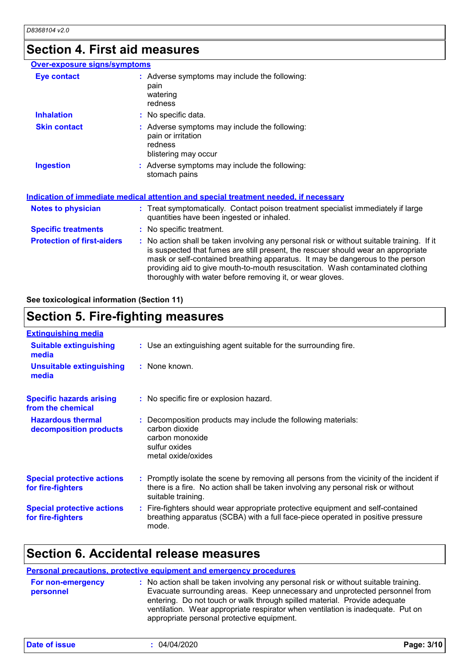### **Section 4. First aid measures**

#### **Protection of first-aiders :** No action shall be taken involving any personal risk or without suitable training. If it is suspected that fumes are still present, the rescuer should wear an appropriate mask or self-contained breathing apparatus. It may be dangerous to the person providing aid to give mouth-to-mouth resuscitation. Wash contaminated clothing thoroughly with water before removing it, or wear gloves. **Notes to physician <b>:** Treat symptomatically. Contact poison treatment specialist immediately if large quantities have been ingested or inhaled. **Specific treatments :** No specific treatment. **Over-exposure signs/symptoms Skin contact Ingestion Inhalation :** No specific data. Adverse symptoms may include the following: **:** stomach pains Adverse symptoms may include the following: **:** pain or irritation redness blistering may occur **Eye contact :** Adverse symptoms may include the following: pain watering redness **Indication of immediate medical attention and special treatment needed, if necessary**

#### **See toxicological information (Section 11)**

# **Section 5. Fire-fighting measures**

| : Use an extinguishing agent suitable for the surrounding fire.                                                                                                                                     |
|-----------------------------------------------------------------------------------------------------------------------------------------------------------------------------------------------------|
| : None known.                                                                                                                                                                                       |
| : No specific fire or explosion hazard.                                                                                                                                                             |
| : Decomposition products may include the following materials:<br>carbon dioxide<br>carbon monoxide<br>sulfur oxides<br>metal oxide/oxides                                                           |
| : Promptly isolate the scene by removing all persons from the vicinity of the incident if<br>there is a fire. No action shall be taken involving any personal risk or without<br>suitable training. |
| : Fire-fighters should wear appropriate protective equipment and self-contained<br>breathing apparatus (SCBA) with a full face-piece operated in positive pressure<br>mode.                         |
|                                                                                                                                                                                                     |

### **Section 6. Accidental release measures**

#### **Personal precautions, protective equipment and emergency procedures :** No action shall be taken involving any personal risk or without suitable training. Evacuate surrounding areas. Keep unnecessary and unprotected personnel from entering. Do not touch or walk through spilled material. Provide adequate ventilation. Wear appropriate respirator when ventilation is inadequate. Put on appropriate personal protective equipment. **For non-emergency personnel**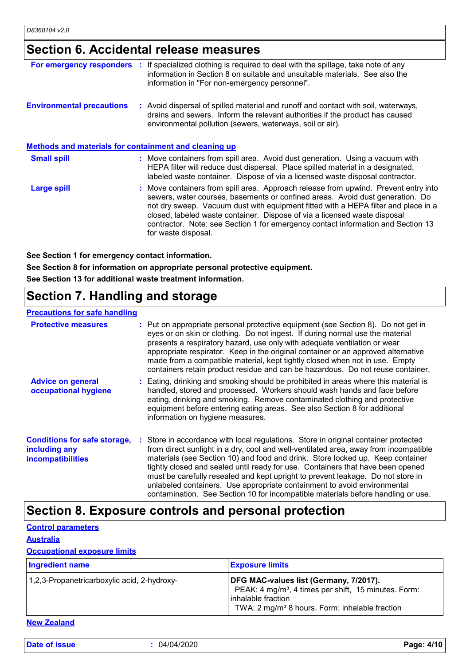# **Section 6. Accidental release measures**

| If specialized clothing is required to deal with the spillage, take note of any<br>For emergency responders<br>information in Section 8 on suitable and unsuitable materials. See also the<br>information in "For non-emergency personnel".                                                                                                                                                                                                        |
|----------------------------------------------------------------------------------------------------------------------------------------------------------------------------------------------------------------------------------------------------------------------------------------------------------------------------------------------------------------------------------------------------------------------------------------------------|
| : Avoid dispersal of spilled material and runoff and contact with soil, waterways,<br>drains and sewers. Inform the relevant authorities if the product has caused<br>environmental pollution (sewers, waterways, soil or air).                                                                                                                                                                                                                    |
| Methods and materials for containment and cleaning up                                                                                                                                                                                                                                                                                                                                                                                              |
| : Move containers from spill area. Avoid dust generation. Using a vacuum with<br>HEPA filter will reduce dust dispersal. Place spilled material in a designated,<br>labeled waste container. Dispose of via a licensed waste disposal contractor.                                                                                                                                                                                                  |
| : Move containers from spill area. Approach release from upwind. Prevent entry into<br>sewers, water courses, basements or confined areas. Avoid dust generation. Do<br>not dry sweep. Vacuum dust with equipment fitted with a HEPA filter and place in a<br>closed, labeled waste container. Dispose of via a licensed waste disposal<br>contractor. Note: see Section 1 for emergency contact information and Section 13<br>for waste disposal. |
|                                                                                                                                                                                                                                                                                                                                                                                                                                                    |

**See Section 1 for emergency contact information.**

**See Section 8 for information on appropriate personal protective equipment.**

**See Section 13 for additional waste treatment information.**

# **Section 7. Handling and storage**

#### **Precautions for safe handling**

| <b>Protective measures</b>                                                       | : Put on appropriate personal protective equipment (see Section 8). Do not get in<br>eyes or on skin or clothing. Do not ingest. If during normal use the material<br>presents a respiratory hazard, use only with adequate ventilation or wear<br>appropriate respirator. Keep in the original container or an approved alternative<br>made from a compatible material, kept tightly closed when not in use. Empty<br>containers retain product residue and can be hazardous. Do not reuse container.                                                                                            |
|----------------------------------------------------------------------------------|---------------------------------------------------------------------------------------------------------------------------------------------------------------------------------------------------------------------------------------------------------------------------------------------------------------------------------------------------------------------------------------------------------------------------------------------------------------------------------------------------------------------------------------------------------------------------------------------------|
| <b>Advice on general</b><br>occupational hygiene                                 | : Eating, drinking and smoking should be prohibited in areas where this material is<br>handled, stored and processed. Workers should wash hands and face before<br>eating, drinking and smoking. Remove contaminated clothing and protective<br>equipment before entering eating areas. See also Section 8 for additional<br>information on hygiene measures.                                                                                                                                                                                                                                     |
| <b>Conditions for safe storage,</b><br>including any<br><b>incompatibilities</b> | Store in accordance with local regulations. Store in original container protected<br>from direct sunlight in a dry, cool and well-ventilated area, away from incompatible<br>materials (see Section 10) and food and drink. Store locked up. Keep container<br>tightly closed and sealed until ready for use. Containers that have been opened<br>must be carefully resealed and kept upright to prevent leakage. Do not store in<br>unlabeled containers. Use appropriate containment to avoid environmental<br>contamination. See Section 10 for incompatible materials before handling or use. |

# **Section 8. Exposure controls and personal protection**

**Control parameters**

#### **Australia**

#### **Occupational exposure limits**

| <b>Ingredient name</b>                      | <b>Exposure limits</b>                                                                                                                                                                           |
|---------------------------------------------|--------------------------------------------------------------------------------------------------------------------------------------------------------------------------------------------------|
| 1,2,3-Propanetricarboxylic acid, 2-hydroxy- | DFG MAC-values list (Germany, 7/2017).<br>PEAK: 4 mg/m <sup>3</sup> , 4 times per shift, 15 minutes. Form:<br>l inhalable fraction<br>TWA: 2 mg/m <sup>3</sup> 8 hours. Form: inhalable fraction |

**New Zealand**

**Date of issue :** 04/04/2020 **Page: 4/10**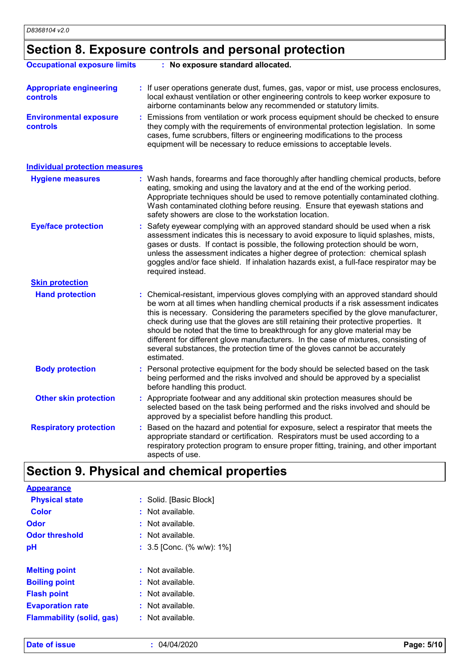# **Section 8. Exposure controls and personal protection**

| <b>Occupational exposure limits</b>               | : No exposure standard allocated.                                                                                                                                                                                                                                                                                                                                                                                                                                                                                                                                                                                         |
|---------------------------------------------------|---------------------------------------------------------------------------------------------------------------------------------------------------------------------------------------------------------------------------------------------------------------------------------------------------------------------------------------------------------------------------------------------------------------------------------------------------------------------------------------------------------------------------------------------------------------------------------------------------------------------------|
| <b>Appropriate engineering</b><br><b>controls</b> | If user operations generate dust, fumes, gas, vapor or mist, use process enclosures,<br>local exhaust ventilation or other engineering controls to keep worker exposure to<br>airborne contaminants below any recommended or statutory limits.                                                                                                                                                                                                                                                                                                                                                                            |
| <b>Environmental exposure</b><br>controls         | Emissions from ventilation or work process equipment should be checked to ensure<br>they comply with the requirements of environmental protection legislation. In some<br>cases, fume scrubbers, filters or engineering modifications to the process<br>equipment will be necessary to reduce emissions to acceptable levels.                                                                                                                                                                                                                                                                                             |
| <b>Individual protection measures</b>             |                                                                                                                                                                                                                                                                                                                                                                                                                                                                                                                                                                                                                           |
| <b>Hygiene measures</b>                           | : Wash hands, forearms and face thoroughly after handling chemical products, before<br>eating, smoking and using the lavatory and at the end of the working period.<br>Appropriate techniques should be used to remove potentially contaminated clothing.<br>Wash contaminated clothing before reusing. Ensure that eyewash stations and<br>safety showers are close to the workstation location.                                                                                                                                                                                                                         |
| <b>Eye/face protection</b>                        | : Safety eyewear complying with an approved standard should be used when a risk<br>assessment indicates this is necessary to avoid exposure to liquid splashes, mists,<br>gases or dusts. If contact is possible, the following protection should be worn,<br>unless the assessment indicates a higher degree of protection: chemical splash<br>goggles and/or face shield. If inhalation hazards exist, a full-face respirator may be<br>required instead.                                                                                                                                                               |
| <b>Skin protection</b>                            |                                                                                                                                                                                                                                                                                                                                                                                                                                                                                                                                                                                                                           |
| <b>Hand protection</b>                            | : Chemical-resistant, impervious gloves complying with an approved standard should<br>be worn at all times when handling chemical products if a risk assessment indicates<br>this is necessary. Considering the parameters specified by the glove manufacturer,<br>check during use that the gloves are still retaining their protective properties. It<br>should be noted that the time to breakthrough for any glove material may be<br>different for different glove manufacturers. In the case of mixtures, consisting of<br>several substances, the protection time of the gloves cannot be accurately<br>estimated. |
| <b>Body protection</b>                            | : Personal protective equipment for the body should be selected based on the task<br>being performed and the risks involved and should be approved by a specialist<br>before handling this product.                                                                                                                                                                                                                                                                                                                                                                                                                       |
| <b>Other skin protection</b>                      | : Appropriate footwear and any additional skin protection measures should be<br>selected based on the task being performed and the risks involved and should be<br>approved by a specialist before handling this product.                                                                                                                                                                                                                                                                                                                                                                                                 |
| <b>Respiratory protection</b>                     | Based on the hazard and potential for exposure, select a respirator that meets the<br>appropriate standard or certification. Respirators must be used according to a<br>respiratory protection program to ensure proper fitting, training, and other important<br>aspects of use.                                                                                                                                                                                                                                                                                                                                         |

# **Section 9. Physical and chemical properties**

| <b>Appearance</b>                |                                 |
|----------------------------------|---------------------------------|
| <b>Physical state</b>            | : Solid. [Basic Block]          |
| Color                            | : Not available.                |
| Odor                             | : Not available.                |
| <b>Odor threshold</b>            | : Not available.                |
| рH                               | : $3.5$ [Conc. (% w/w): $1\%$ ] |
|                                  |                                 |
| <b>Melting point</b>             | : Not available.                |
| <b>Boiling point</b>             | : Not available.                |
| <b>Flash point</b>               | : Not available.                |
| <b>Evaporation rate</b>          | : Not available.                |
| <b>Flammability (solid, gas)</b> | : Not available.                |
|                                  |                                 |

**Date of issue :** 04/04/2020 **Page: 5/10**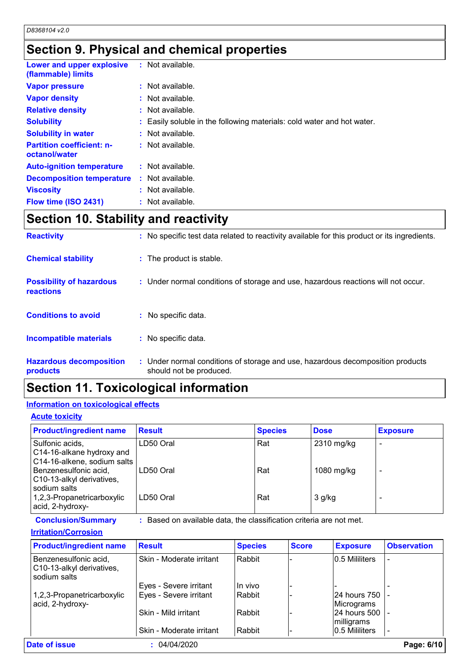# **Section 9. Physical and chemical properties**

| Lower and upper explosive<br>(flammable) limits   | : Not available.                                                       |
|---------------------------------------------------|------------------------------------------------------------------------|
| <b>Vapor pressure</b>                             | : Not available.                                                       |
| <b>Vapor density</b>                              | : Not available.                                                       |
| <b>Relative density</b>                           | : Not available.                                                       |
| <b>Solubility</b>                                 | : Easily soluble in the following materials: cold water and hot water. |
| <b>Solubility in water</b>                        | : Not available.                                                       |
| <b>Partition coefficient: n-</b><br>octanol/water | : Not available.                                                       |
| <b>Auto-ignition temperature</b>                  | : Not available.                                                       |
| <b>Decomposition temperature</b>                  | : Not available.                                                       |
| <b>Viscosity</b>                                  | $:$ Not available.                                                     |
| Flow time (ISO 2431)                              | : Not available.                                                       |

# **Section 10. Stability and reactivity**

| <b>Reactivity</b>                            | : No specific test data related to reactivity available for this product or its ingredients.              |
|----------------------------------------------|-----------------------------------------------------------------------------------------------------------|
| <b>Chemical stability</b>                    | : The product is stable.                                                                                  |
| <b>Possibility of hazardous</b><br>reactions | : Under normal conditions of storage and use, hazardous reactions will not occur.                         |
| <b>Conditions to avoid</b>                   | $:$ No specific data.                                                                                     |
| <b>Incompatible materials</b>                | : No specific data.                                                                                       |
| <b>Hazardous decomposition</b><br>products   | : Under normal conditions of storage and use, hazardous decomposition products<br>should not be produced. |

# **Section 11. Toxicological information**

### **Information on toxicological effects**

#### **Acute toxicity**

| <b>Product/ingredient name</b>                                              | <b>Result</b> | <b>Species</b> | <b>Dose</b> | <b>Exposure</b> |
|-----------------------------------------------------------------------------|---------------|----------------|-------------|-----------------|
| Sulfonic acids,<br>C14-16-alkane hydroxy and<br>C14-16-alkene, sodium salts | LD50 Oral     | Rat            | 2310 mg/kg  |                 |
| Benzenesulfonic acid,<br>C10-13-alkyl derivatives,                          | LD50 Oral     | Rat            | 1080 mg/kg  |                 |
| sodium salts<br>1,2,3-Propanetricarboxylic<br>acid, 2-hydroxy-              | LD50 Oral     | Rat            | $3$ g/kg    |                 |

**Conclusion/Summary :** Based on available data, the classification criteria are not met.

#### **Irritation/Corrosion**

| <b>Product/ingredient name</b>                                     | <b>Result</b>            | <b>Species</b> | <b>Score</b> | <b>Exposure</b> | <b>Observation</b> |
|--------------------------------------------------------------------|--------------------------|----------------|--------------|-----------------|--------------------|
| Benzenesulfonic acid,<br>C10-13-alkyl derivatives,<br>sodium salts | Skin - Moderate irritant | Rabbit         |              | 0.5 Mililiters  |                    |
|                                                                    | Eyes - Severe irritant   | In vivo        |              |                 |                    |
| 1,2,3-Propanetricarboxylic                                         | Eyes - Severe irritant   | Rabbit         |              | 24 hours 750    |                    |
| acid, 2-hydroxy-                                                   |                          |                |              | Micrograms      |                    |
|                                                                    | Skin - Mild irritant     | Rabbit         |              | 24 hours 500    |                    |
|                                                                    |                          |                |              | milligrams      |                    |
|                                                                    | Skin - Moderate irritant | Rabbit         |              | 10.5 Mililiters |                    |
| Date of issue                                                      | 04/04/2020               |                |              |                 | Page: 6/10         |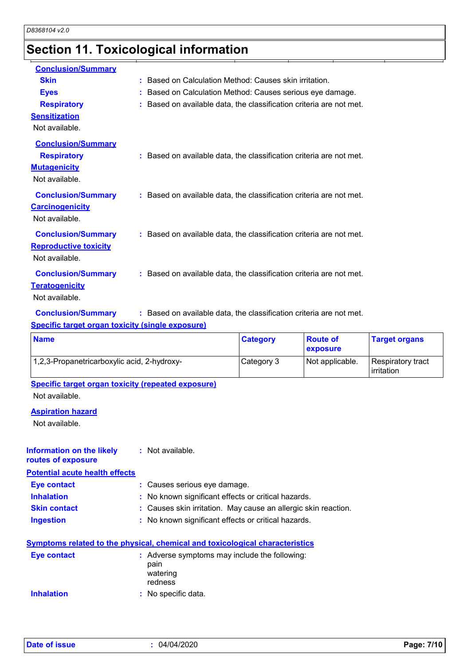# **Section 11. Toxicological information**

| <b>Conclusion/Summary</b>    |                                                                     |
|------------------------------|---------------------------------------------------------------------|
| <b>Skin</b>                  | : Based on Calculation Method: Causes skin irritation.              |
| <b>Eyes</b>                  | Based on Calculation Method: Causes serious eye damage.             |
| <b>Respiratory</b>           | : Based on available data, the classification criteria are not met. |
| <b>Sensitization</b>         |                                                                     |
| Not available.               |                                                                     |
| <b>Conclusion/Summary</b>    |                                                                     |
| <b>Respiratory</b>           | : Based on available data, the classification criteria are not met. |
| <b>Mutagenicity</b>          |                                                                     |
| Not available.               |                                                                     |
| <b>Conclusion/Summary</b>    | : Based on available data, the classification criteria are not met. |
| <b>Carcinogenicity</b>       |                                                                     |
| Not available.               |                                                                     |
| <b>Conclusion/Summary</b>    | : Based on available data, the classification criteria are not met. |
| <b>Reproductive toxicity</b> |                                                                     |
| Not available.               |                                                                     |
|                              |                                                                     |
| <b>Conclusion/Summary</b>    | : Based on available data, the classification criteria are not met. |
| <b>Teratogenicity</b>        |                                                                     |
| Not available.               |                                                                     |
|                              |                                                                     |

**Conclusion/Summary :** Based on available data, the classification criteria are not met.

#### **Specific target organ toxicity (single exposure)**

| <b>Name</b>                                 | <b>Category</b> | <b>Route of</b><br>exposure | <b>Target organs</b>            |
|---------------------------------------------|-----------------|-----------------------------|---------------------------------|
| 1,2,3-Propanetricarboxylic acid, 2-hydroxy- | Category 3      | Not applicable.             | Respiratory tract<br>irritation |

**Specific target organ toxicity (repeated exposure)**

Not available.

#### **Aspiration hazard**

Not available.

| Information on the likely<br>routes of exposure | : Not available.                                                             |
|-------------------------------------------------|------------------------------------------------------------------------------|
| <b>Potential acute health effects</b>           |                                                                              |
| Eye contact                                     | : Causes serious eye damage.                                                 |
| <b>Inhalation</b>                               | : No known significant effects or critical hazards.                          |
| <b>Skin contact</b>                             | : Causes skin irritation. May cause an allergic skin reaction.               |
| <b>Ingestion</b>                                | : No known significant effects or critical hazards.                          |
|                                                 | Symptoms related to the physical, chemical and toxicological characteristics |
| Eye contact                                     | : Adverse symptoms may include the following:                                |

| <b>EVE CONTACT</b> | . Adverse symptoms may include the follow<br>pain<br>watering<br>redness |
|--------------------|--------------------------------------------------------------------------|
| <b>Inhalation</b>  | : No specific data.                                                      |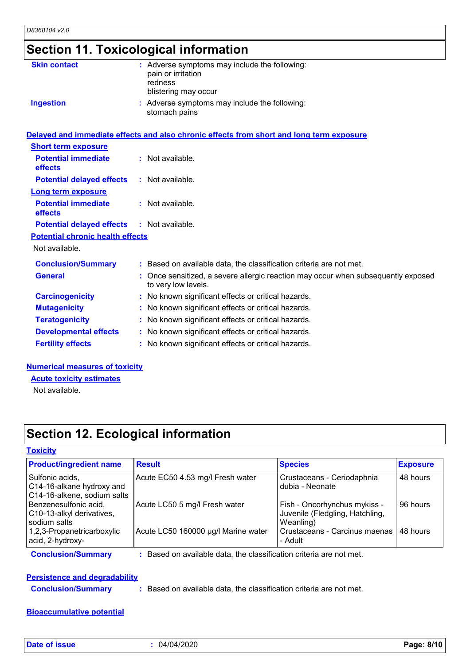| <b>Section 11. Toxicological information</b> |  |
|----------------------------------------------|--|
|----------------------------------------------|--|

| <b>Skin contact</b>                     | : Adverse symptoms may include the following:<br>pain or irritation<br>redness<br>blistering may occur   |
|-----------------------------------------|----------------------------------------------------------------------------------------------------------|
| <b>Ingestion</b>                        | : Adverse symptoms may include the following:<br>stomach pains                                           |
|                                         | Delayed and immediate effects and also chronic effects from short and long term exposure                 |
| <b>Short term exposure</b>              |                                                                                                          |
| <b>Potential immediate</b><br>effects   | : Not available.                                                                                         |
| <b>Potential delayed effects</b>        | $:$ Not available.                                                                                       |
| <b>Long term exposure</b>               |                                                                                                          |
| <b>Potential immediate</b><br>effects   | : Not available.                                                                                         |
| <b>Potential delayed effects</b>        | $:$ Not available.                                                                                       |
| <b>Potential chronic health effects</b> |                                                                                                          |
| Not available.                          |                                                                                                          |
| <b>Conclusion/Summary</b>               | : Based on available data, the classification criteria are not met.                                      |
| <b>General</b>                          | : Once sensitized, a severe allergic reaction may occur when subsequently exposed<br>to very low levels. |
| <b>Carcinogenicity</b>                  | : No known significant effects or critical hazards.                                                      |
| <b>Mutagenicity</b>                     | : No known significant effects or critical hazards.                                                      |
| <b>Teratogenicity</b>                   | : No known significant effects or critical hazards.                                                      |
| <b>Developmental effects</b>            | : No known significant effects or critical hazards.                                                      |
| <b>Fertility effects</b>                | : No known significant effects or critical hazards.                                                      |
|                                         |                                                                                                          |

#### **Numerical measures of toxicity**

**Acute toxicity estimates**

Not available.

# **Section 12. Ecological information**

#### **Toxicity**

| Acute EC50 4.53 mg/l Fresh water    | Crustaceans - Ceriodaphnia                                      |                                                                                                                   |
|-------------------------------------|-----------------------------------------------------------------|-------------------------------------------------------------------------------------------------------------------|
|                                     | dubia - Neonate                                                 | 48 hours                                                                                                          |
| Acute LC50 5 mg/l Fresh water       | Fish - Oncorhynchus mykiss -<br>Juvenile (Fledgling, Hatchling, | 96 hours                                                                                                          |
| Acute LC50 160000 µg/l Marine water | - Adult                                                         | 48 hours                                                                                                          |
|                                     |                                                                 | Weanling)<br>Crustaceans - Carcinus maenas I<br>Based on available data, the classification criteria are not met. |

# **Persistence and degradability**

**Conclusion/Summary :** Based on available data, the classification criteria are not met.

#### **Bioaccumulative potential**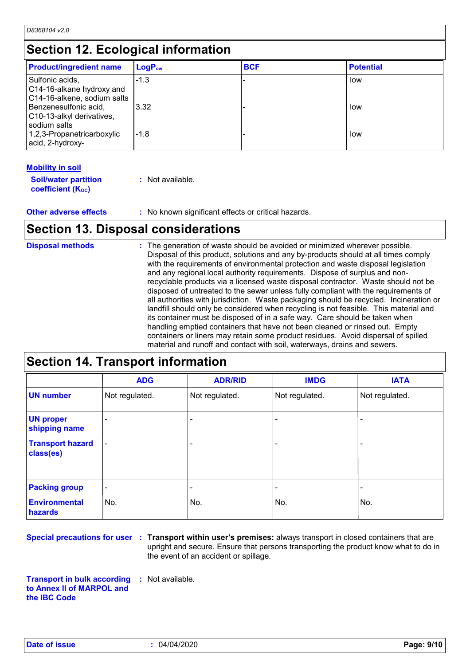# **Section 12. Ecological information**

| <b>Product/ingredient name</b>                                              | $LogP_{ow}$ | <b>BCF</b> | <b>Potential</b> |
|-----------------------------------------------------------------------------|-------------|------------|------------------|
| Sulfonic acids,<br>C14-16-alkane hydroxy and<br>C14-16-alkene, sodium salts | $-1.3$      |            | low              |
| Benzenesulfonic acid,<br>C10-13-alkyl derivatives,<br>l sodium salts        | 3.32        |            | low              |
| 1,2,3-Propanetricarboxylic<br>acid, 2-hydroxy-                              | $-1.8$      |            | low              |

#### **Mobility in soil**

| <b>Soil/water partition</b> | : Not available. |
|-----------------------------|------------------|
| <b>coefficient (Koc)</b>    |                  |

**Other adverse effects :** No known significant effects or critical hazards.

# **Section 13. Disposal considerations**

The generation of waste should be avoided or minimized wherever possible. Disposal of this product, solutions and any by-products should at all times comply with the requirements of environmental protection and waste disposal legislation and any regional local authority requirements. Dispose of surplus and nonrecyclable products via a licensed waste disposal contractor. Waste should not be disposed of untreated to the sewer unless fully compliant with the requirements of all authorities with jurisdiction. Waste packaging should be recycled. Incineration or landfill should only be considered when recycling is not feasible. This material and its container must be disposed of in a safe way. Care should be taken when handling emptied containers that have not been cleaned or rinsed out. Empty containers or liners may retain some product residues. Avoid dispersal of spilled material and runoff and contact with soil, waterways, drains and sewers. **Disposal methods :**

#### **Section 14. Transport information** - - - - - - Not regulated. - - Not regulated. Not regulated. **ADR/RID IMDG IATA UN number UN proper shipping name Transport hazard class(es) Packing group ADG** Not regulated. - -

**Environmental** 

**hazards**

**Special precautions for user** : Transport within user's premises: always transport in closed containers that are upright and secure. Ensure that persons transporting the product know what to do in the event of an accident or spillage.

No. 1980 **No.** 2008 **No.** 2008 **No.** 2008

**Transport in bulk according to Annex II of MARPOL and the IBC Code :** Not available.

N<sub>o</sub>